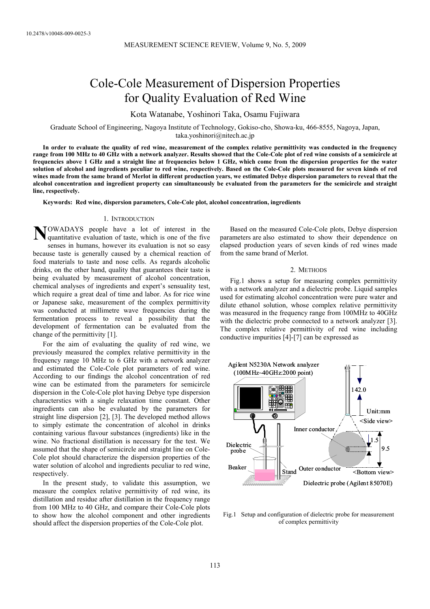# Cole-Cole Measurement of Dispersion Properties for Quality Evaluation of Red Wine

Kota Watanabe, Yoshinori Taka, Osamu Fujiwara

Graduate School of Engineering, Nagoya Institute of Technology, Gokiso-cho, Showa-ku, 466-8555, Nagoya, Japan, taka.yoshinori@nitech.ac.jp

**In order to evaluate the quality of red wine, measurement of the complex relative permittivity was conducted in the frequency range from 100 MHz to 40 GHz with a network analyzer. Results showed that the Cole-Cole plot of red wine consists of a semicircle at frequencies above 1 GHz and a straight line at frequencies below 1 GHz, which come from the dispersion properties for the water solution of alcohol and ingredients peculiar to red wine, respectively. Based on the Cole-Cole plots measured for seven kinds of red wines made from the same brand of Merlot in different production years, we estimated Debye dispersion parameters to reveal that the alcohol concentration and ingredient property can simultaneously be evaluated from the parameters for the semicircle and straight line, respectively.** 

**Keywords: Red wine, dispersion parameters, Cole-Cole plot, alcohol concentration, ingredients**

# 1. INTRODUCTION

**N**OWADAYS people have a lot of interest in the quantitative evaluation of taste, which is one of the five quantitative evaluation of taste, which is one of the five senses in humans, however its evaluation is not so easy because taste is generally caused by a chemical reaction of food materials to taste and nose cells. As regards alcoholic drinks, on the other hand, quality that guarantees their taste is being evaluated by measurement of alcohol concentration, chemical analyses of ingredients and expert's sensuality test, which require a great deal of time and labor. As for rice wine or Japanese sake, measurement of the complex permittivity was conducted at millimetre wave frequencies during the fermentation process to reveal a possibility that the development of fermentation can be evaluated from the change of the permittivity [1].

For the aim of evaluating the quality of red wine, we previously measured the complex relative permittivity in the frequency range 10 MHz to 6 GHz with a network analyzer and estimated the Cole-Cole plot parameters of red wine. According to our findings the alcohol concentration of red wine can be estimated from the parameters for semicircle dispersion in the Cole-Cole plot having Debye type dispersion characterstics with a single relaxation time constant. Other ingredients can also be evaluated by the parameters for straight line dispersion [2], [3]. The developed method allows to simply estimate the concentration of alcohol in drinks containing various flavour substances (ingredients) like in the wine. No fractional distillation is necessary for the test. We assumed that the shape of semicircle and straight line on Cole-Cole plot should characterize the dispersion properties of the water solution of alcohol and ingredients peculiar to red wine, respectively.

In the present study, to validate this assumption, we measure the complex relative permittivity of red wine, its distillation and residue after distillation in the frequency range from 100 MHz to 40 GHz, and compare their Cole-Cole plots to show how the alcohol component and other ingredients should affect the dispersion properties of the Cole-Cole plot.

Based on the measured Cole-Cole plots, Debye dispersion parameters are also estimated to show their dependence on elapsed production years of seven kinds of red wines made from the same brand of Merlot.

#### 2. METHODS

Fig.1 shows a setup for measuring complex permittivity with a network analyzer and a dielectric probe. Liquid samples used for estimating alcohol concentration were pure water and dilute ethanol solution, whose complex relative permittivity was measured in the frequency range from 100MHz to 40GHz with the dielectric probe connected to a network analyzer [3]. The complex relative permittivity of red wine including conductive impurities [4]-[7] can be expressed as



Fig.1 Setup and configuration of dielectric probe for measurement of complex permittivity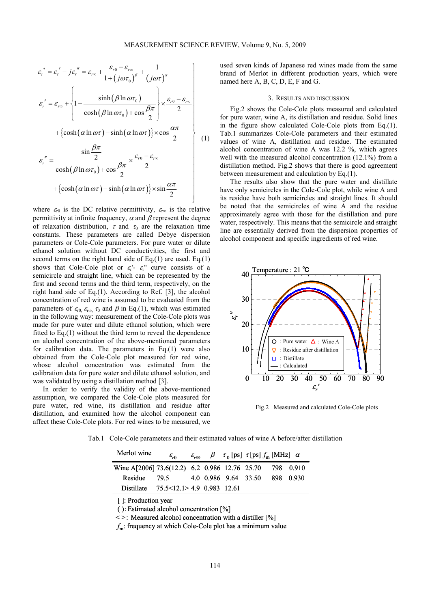⎭

 $\overline{a}$ 

$$
\varepsilon_r^* = \varepsilon_r' - j\varepsilon_r'' = \varepsilon_{r\infty} + \frac{\varepsilon_{r0} - \varepsilon_{r\infty}}{1 + (j\omega\tau_0)^\beta} + \frac{1}{(j\omega\tau)^\alpha}
$$
\n
$$
\varepsilon_r' = \varepsilon_{r\infty} + \begin{cases} \n1 - \frac{\sinh(\beta \ln \omega \tau_0)}{\cosh(\beta \ln \omega \tau_0) + \cos \frac{\beta \pi}{2}} \times \frac{\varepsilon_{r0} - \varepsilon_{r\infty}}{2} \\
+ \{\cosh(\alpha \ln \omega \tau) - \sinh(\alpha \ln \omega \tau)\} \times \cos \frac{\alpha \pi}{2} \\
\sin \frac{\beta \pi}{2} \\
\varepsilon_r'' = \frac{\sin \frac{\beta \pi}{2}}{\cosh(\beta \ln \omega \tau_0) + \cos \frac{\beta \pi}{2}} \times \frac{\varepsilon_{r0} - \varepsilon_{r\infty}}{2} \\
+ \{\cosh(\alpha \ln \omega \tau) - \sinh(\alpha \ln \omega \tau)\} \times \sin \frac{\alpha \pi}{2}\n\end{cases} (1)
$$

where  $\varepsilon_{r0}$  is the DC relative permittivity,  $\varepsilon_{r\infty}$  is the relative permittivity at infinite frequency,  $\alpha$  and  $\beta$  represent the degree of relaxation distribution,  $\tau$  and  $\tau_0$  are the relaxation time constants. These parameters are called Debye dispersion parameters or Cole-Cole parameters. For pure water or dilute ethanol solution without DC conductivities, the first and second terms on the right hand side of Eq.(1) are used. Eq.(1) shows that Cole-Cole plot or  $\varepsilon_r'$ -  $\varepsilon_r''$  curve consists of a semicircle and straight line, which can be represented by the first and second terms and the third term, respectively, on the right hand side of Eq.(1). According to Ref. [3], the alcohol concentration of red wine is assumed to be evaluated from the parameters of  $\varepsilon_{r0}$ ,  $\varepsilon_{r\infty}$ ,  $\tau_0$  and  $\beta$  in Eq.(1), which was estimated in the following way: measurement of the Cole-Cole plots was made for pure water and dilute ethanol solution, which were fitted to Eq.(1) without the third term to reveal the dependence on alcohol concentration of the above-mentioned parameters for calibration data. The parameters in Eq.(1) were also obtained from the Cole-Cole plot measured for red wine, whose alcohol concentration was estimated from the calibration data for pure water and dilute ethanol solution, and was validated by using a distillation method [3].

In order to verify the validity of the above-mentioned assumption, we compared the Cole-Cole plots measured for pure water, red wine, its distillation and residue after distillation, and examined how the alcohol component can affect these Cole-Cole plots. For red wines to be measured, we used seven kinds of Japanese red wines made from the same brand of Merlot in different production years, which were named here A, B, C, D, E, F and G.

## 3. RESULTS AND DISCUSSION

Fig.2 shows the Cole-Cole plots measured and calculated for pure water, wine A, its distillation and residue. Solid lines in the figure show calculated Cole-Cole plots from Eq.(1). Tab.1 summarizes Cole-Cole parameters and their estimated values of wine A, distillation and residue. The estimated alcohol concentration of wine A was 12.2 %, which agrees well with the measured alcohol concentration (12.1%) from a distillation method. Fig.2 shows that there is good agreement between measurement and calculation by Eq.(1).

The results also show that the pure water and distillate have only semicircles in the Cole-Cole plot, while wine A and its residue have both semicircles and straight lines. It should be noted that the semicircles of wine A and the residue approximately agree with those for the distillation and pure water, respectively. This means that the semicircle and straight line are essentially derived from the dispersion properties of alcohol component and specific ingredients of red wine.



Fig.2 Measured and calculated Cole-Cole plots

Tab.1 Cole-Cole parameters and their estimated values of wine A before/after distillation

| Merlot wine                                             | $\varepsilon_{n}$                           |  | $\varepsilon_{r\infty}$ $\beta$ $\tau_0$ [ps] $\tau$ [ps] $f_m$ [MHz] $\alpha$ |  |
|---------------------------------------------------------|---------------------------------------------|--|--------------------------------------------------------------------------------|--|
| Wine A[2006] 73.6(12.2) 6.2 0.986 12.76 25.70 798 0.910 |                                             |  |                                                                                |  |
|                                                         | Residue 79.5 4.0 0.986 9.64 33.50 898 0.930 |  |                                                                                |  |
| Distillate 75.5<12.1>4.9 0.983 12.61                    |                                             |  |                                                                                |  |

[]: Production year

( ):Estimated alcohol concentration [%]

< >: Measured alcohol concentration with a distiller [%]

*f* m: frequency at which Cole-Cole plot has a minimum value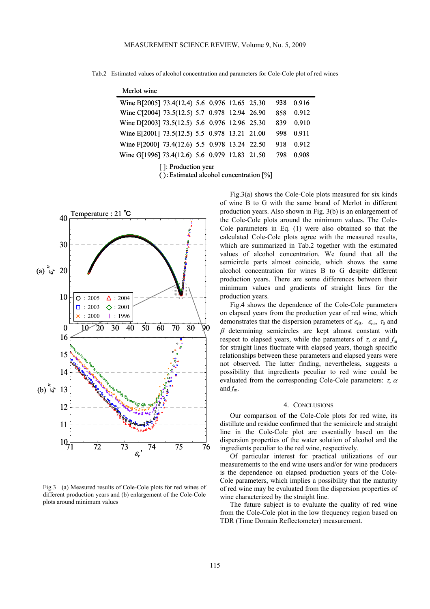Tab.2 Estimated values of alcohol concentration and parameters for Cole-Cole plot of red wines

| Merlot wine                                   |  |  |      |       |
|-----------------------------------------------|--|--|------|-------|
| Wine B[2005] 73.4(12.4) 5.6 0.976 12.65 25.30 |  |  | 938  | 0916  |
| Wine C[2004] 73.5(12.5) 5.7 0.978 12.94 26.90 |  |  | 858  | 0.912 |
| Wine D[2003] 73.5(12.5) 5.6 0.976 12.96 25.30 |  |  | 839  | 0.910 |
| Wine E[2001] 73.5(12.5) 5.5 0.978 13.21 21.00 |  |  | 998. | 0.911 |
| Wine F[2000] 73.4(12.6) 5.5 0.978 13.24 22.50 |  |  | 918  | 0.912 |
| Wine G[1996] 73.4(12.6) 5.6 0.979 12.83 21.50 |  |  | 798  | 0 908 |

[ ]: Production year

( ):Estimated alcohol concentration [%]



Fig.3 (a) Measured results of Cole-Cole plots for red wines of different production years and (b) enlargement of the Cole-Cole plots around minimum values

Fig.3(a) shows the Cole-Cole plots measured for six kinds of wine B to G with the same brand of Merlot in different production years. Also shown in Fig. 3(b) is an enlargement of the Cole-Cole plots around the minimum values. The Cole-Cole parameters in Eq. (1) were also obtained so that the calculated Cole-Cole plots agree with the measured results, which are summarized in Tab.2 together with the estimated values of alcohol concentration. We found that all the semicircle parts almost coincide, which shows the same alcohol concentration for wines B to G despite different production years. There are some differences between their minimum values and gradients of straight lines for the production years.

Fig.4 shows the dependence of the Cole-Cole parameters on elapsed years from the production year of red wine, which demonstrates that the dispersion parameters of  $\varepsilon_{r0}$ ,  $\varepsilon_{r\infty}$ ,  $\tau_0$  and  $\beta$  determining semicircles are kept almost constant with respect to elapsed years, while the parameters of  $\tau$ ,  $\alpha$  and  $f<sub>m</sub>$ for straight lines fluctuate with elapsed years, though specific relationships between these parameters and elapsed years were not observed. The latter finding, nevertheless, suggests a possibility that ingredients peculiar to red wine could be evaluated from the corresponding Cole-Cole parameters:  $\tau$ ,  $\alpha$ and  $f_m$ .

# 4. CONCLUSIONS

Our comparison of the Cole-Cole plots for red wine, its distillate and residue confirmed that the semicircle and straight line in the Cole-Cole plot are essentially based on the dispersion properties of the water solution of alcohol and the ingredients peculiar to the red wine, respectively.

Of particular interest for practical utilizations of our measurements to the end wine users and/or for wine producers is the dependence on elapsed production years of the Cole-Cole parameters, which implies a possibility that the maturity of red wine may be evaluated from the dispersion properties of wine characterized by the straight line.

The future subject is to evaluate the quality of red wine from the Cole-Cole plot in the low frequency region based on TDR (Time Domain Reflectometer) measurement.